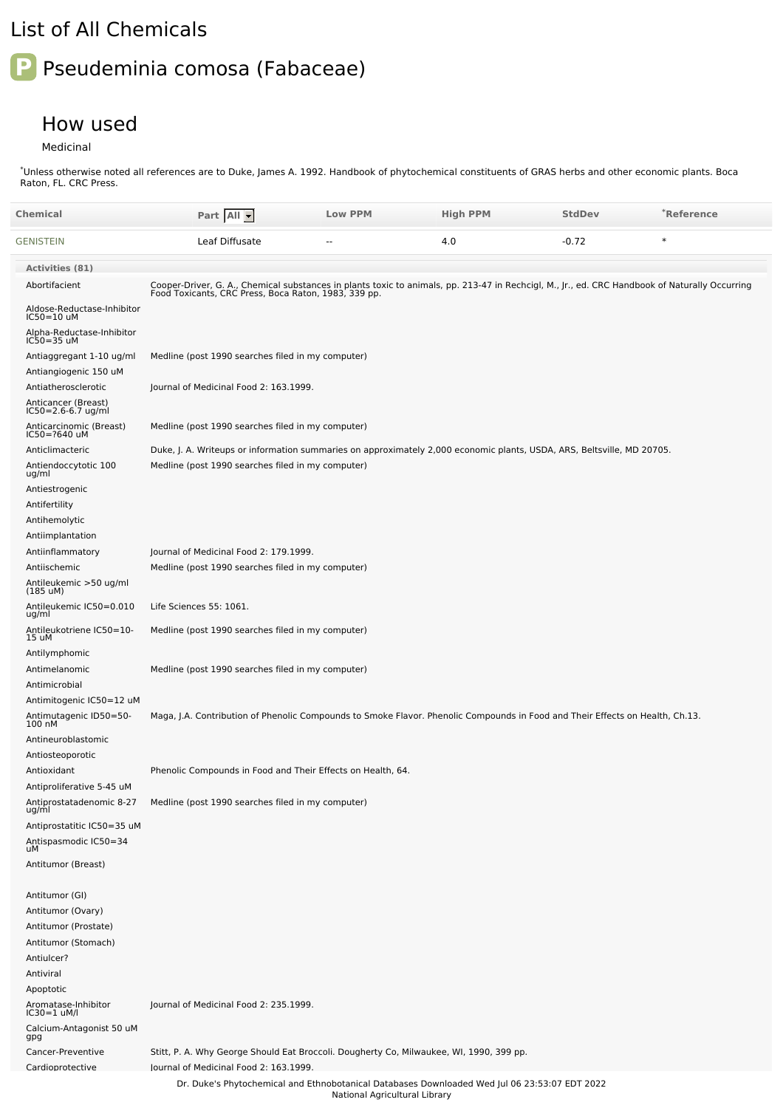## List of All Chemicals

## **P** Pseudeminia comosa (Fabaceae)

## How used

Medicinal

Unless otherwise noted all references are to Duke, James A. 1992. Handbook of phytochemical constituents of GRAS herbs and other economic plants. Boca Raton, FL. CRC Press. \*

| Chemical                                          | Part All                                                                                                                                                                                               | <b>Low PPM</b>                | <b>High PPM</b> | <b>StdDev</b> | *Reference |
|---------------------------------------------------|--------------------------------------------------------------------------------------------------------------------------------------------------------------------------------------------------------|-------------------------------|-----------------|---------------|------------|
| GENISTEIN                                         | Leaf Diffusate                                                                                                                                                                                         |                               | 4.0             | $-0.72$       | $\ast$     |
| <b>Activities (81)</b>                            |                                                                                                                                                                                                        |                               |                 |               |            |
| Abortifacient                                     | Cooper-Driver, G. A., Chemical substances in plants toxic to animals, pp. 213-47 in Rechcigl, M., Jr., ed. CRC Handbook of Naturally Occurring<br>Food Toxicants, CRC Press, Boca Raton, 1983, 339 pp. |                               |                 |               |            |
| Aldose-Reductase-Inhibitor<br>IC50=10 uM          |                                                                                                                                                                                                        |                               |                 |               |            |
| Alpha-Reductase-Inhibitor<br>IC50=35 uM           |                                                                                                                                                                                                        |                               |                 |               |            |
| Antiaggregant 1-10 ug/ml<br>Antiangiogenic 150 uM | Medline (post 1990 searches filed in my computer)                                                                                                                                                      |                               |                 |               |            |
| Antiatherosclerotic                               | Journal of Medicinal Food 2: 163.1999.                                                                                                                                                                 |                               |                 |               |            |
| Anticancer (Breast)<br>IC50=2.6-6.7 ug/ml         |                                                                                                                                                                                                        |                               |                 |               |            |
| Anticarcinomic (Breast)<br>IC50=?640 uM           | Medline (post 1990 searches filed in my computer)                                                                                                                                                      |                               |                 |               |            |
| Anticlimacteric                                   | Duke, J. A. Writeups or information summaries on approximately 2,000 economic plants, USDA, ARS, Beltsville, MD 20705.                                                                                 |                               |                 |               |            |
| Antiendoccytotic 100<br>ug/ml                     | Medline (post 1990 searches filed in my computer)                                                                                                                                                      |                               |                 |               |            |
| Antiestrogenic                                    |                                                                                                                                                                                                        |                               |                 |               |            |
| Antifertility<br>Antihemolytic                    |                                                                                                                                                                                                        |                               |                 |               |            |
| Antiimplantation                                  |                                                                                                                                                                                                        |                               |                 |               |            |
| Antiinflammatory                                  | Journal of Medicinal Food 2: 179.1999.                                                                                                                                                                 |                               |                 |               |            |
| Antiischemic                                      | Medline (post 1990 searches filed in my computer)                                                                                                                                                      |                               |                 |               |            |
| Antileukemic >50 ug/ml<br>$(185 \text{ uM})$      |                                                                                                                                                                                                        |                               |                 |               |            |
| Antileukemic IC50=0.010<br>ug/ml                  | Life Sciences 55: 1061.                                                                                                                                                                                |                               |                 |               |            |
| Antileukotriene IC50=10-<br>15 uM                 | Medline (post 1990 searches filed in my computer)                                                                                                                                                      |                               |                 |               |            |
| Antilymphomic                                     |                                                                                                                                                                                                        |                               |                 |               |            |
| Antimelanomic<br>Antimicrobial                    | Medline (post 1990 searches filed in my computer)                                                                                                                                                      |                               |                 |               |            |
| Antimitogenic IC50=12 uM                          |                                                                                                                                                                                                        |                               |                 |               |            |
| Antimutagenic ID50=50-<br>100 nM                  | Maga, J.A. Contribution of Phenolic Compounds to Smoke Flavor. Phenolic Compounds in Food and Their Effects on Health, Ch.13.                                                                          |                               |                 |               |            |
| Antineuroblastomic                                |                                                                                                                                                                                                        |                               |                 |               |            |
| Antiosteoporotic                                  |                                                                                                                                                                                                        |                               |                 |               |            |
| Antioxidant<br>Antiproliferative 5-45 uM          | Phenolic Compounds in Food and Their Effects on Health, 64.                                                                                                                                            |                               |                 |               |            |
| Antiprostatadenomic 8-27<br>ug/ml                 | Medline (post 1990 searches filed in my computer)                                                                                                                                                      |                               |                 |               |            |
| Antiprostatitic IC50=35 uM                        |                                                                                                                                                                                                        |                               |                 |               |            |
| Antispasmodic IC50=34<br>uM                       |                                                                                                                                                                                                        |                               |                 |               |            |
| Antitumor (Breast)                                |                                                                                                                                                                                                        |                               |                 |               |            |
| Antitumor (GI)                                    |                                                                                                                                                                                                        |                               |                 |               |            |
| Antitumor (Ovary)                                 |                                                                                                                                                                                                        |                               |                 |               |            |
| Antitumor (Prostate)                              |                                                                                                                                                                                                        |                               |                 |               |            |
| Antitumor (Stomach)                               |                                                                                                                                                                                                        |                               |                 |               |            |
| Antiulcer?                                        |                                                                                                                                                                                                        |                               |                 |               |            |
| Antiviral                                         |                                                                                                                                                                                                        |                               |                 |               |            |
| Apoptotic<br>Aromatase-Inhibitor<br>IC30=1 uM/l   | Journal of Medicinal Food 2: 235.1999.                                                                                                                                                                 |                               |                 |               |            |
| Calcium-Antagonist 50 uM<br>gpg                   |                                                                                                                                                                                                        |                               |                 |               |            |
| Cancer-Preventive                                 | Stitt, P. A. Why George Should Eat Broccoli. Dougherty Co, Milwaukee, WI, 1990, 399 pp.                                                                                                                |                               |                 |               |            |
| Cardioprotective                                  | lournal of Medicinal Food 2: 163.1999.                                                                                                                                                                 |                               |                 |               |            |
|                                                   | Dr. Duke's Phytochemical and Ethnobotanical Databases Downloaded Wed Jul 06 23:53:07 EDT 2022                                                                                                          | National Agricultural Library |                 |               |            |